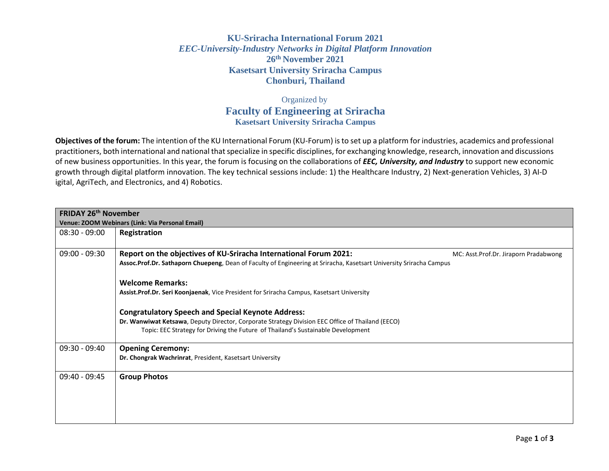## **KU-Sriracha International Forum 2021** *EEC-University-Industry Networks in Digital Platform Innovation* **26th November 2021 Kasetsart University Sriracha Campus Chonburi, Thailand**

## Organized by **Faculty of Engineering at Sriracha Kasetsart University Sriracha Campus**

**Objectives of the forum:** The intention of the KU International Forum (KU-Forum) is to set up a platform for industries, academics and professional practitioners, both international and national that specialize in specific disciplines, for exchanging knowledge, research, innovation and discussions of new business opportunities. In this year, the forum is focusing on the collaborations of *EEC, University, and Industry* to support new economic growth through digital platform innovation. The key technical sessions include: 1) the Healthcare Industry, 2) Next-generation Vehicles, 3) AI-D igital, AgriTech, and Electronics, and 4) Robotics.

| <b>FRIDAY 26th November</b>                     |                                                                                                                     |  |
|-------------------------------------------------|---------------------------------------------------------------------------------------------------------------------|--|
| Venue: ZOOM Webinars (Link: Via Personal Email) |                                                                                                                     |  |
| $08:30 - 09:00$                                 | Registration                                                                                                        |  |
|                                                 |                                                                                                                     |  |
| $09:00 - 09:30$                                 | Report on the objectives of KU-Sriracha International Forum 2021:<br>MC: Asst.Prof.Dr. Jiraporn Pradabwong          |  |
|                                                 | Assoc.Prof.Dr. Sathaporn Chuepeng, Dean of Faculty of Engineering at Sriracha, Kasetsart University Sriracha Campus |  |
|                                                 |                                                                                                                     |  |
|                                                 | <b>Welcome Remarks:</b>                                                                                             |  |
|                                                 | Assist.Prof.Dr. Seri Koonjaenak, Vice President for Sriracha Campus, Kasetsart University                           |  |
|                                                 |                                                                                                                     |  |
|                                                 | <b>Congratulatory Speech and Special Keynote Address:</b>                                                           |  |
|                                                 | Dr. Wanwiwat Ketsawa, Deputy Director, Corporate Strategy Division EEC Office of Thailand (EECO)                    |  |
|                                                 | Topic: EEC Strategy for Driving the Future of Thailand's Sustainable Development                                    |  |
| $09:30 - 09:40$                                 |                                                                                                                     |  |
|                                                 | <b>Opening Ceremony:</b>                                                                                            |  |
|                                                 | Dr. Chongrak Wachrinrat, President, Kasetsart University                                                            |  |
| $09:40 - 09:45$                                 | <b>Group Photos</b>                                                                                                 |  |
|                                                 |                                                                                                                     |  |
|                                                 |                                                                                                                     |  |
|                                                 |                                                                                                                     |  |
|                                                 |                                                                                                                     |  |
|                                                 |                                                                                                                     |  |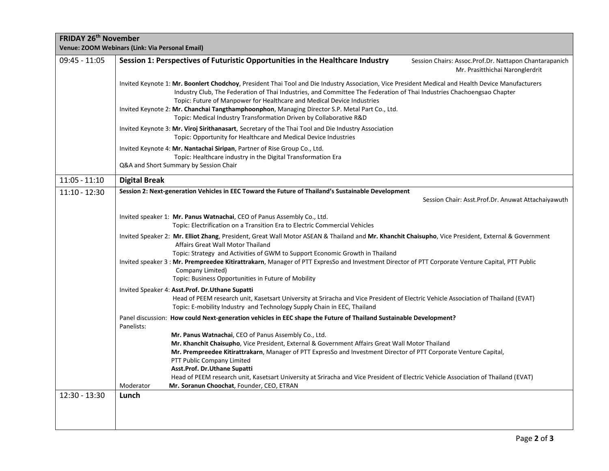| FRIDAY 26 <sup>th</sup> November | Venue: ZOOM Webinars (Link: Via Personal Email)                                                                                                                                                                                                                                                                                                                                                                                                                                                                                |
|----------------------------------|--------------------------------------------------------------------------------------------------------------------------------------------------------------------------------------------------------------------------------------------------------------------------------------------------------------------------------------------------------------------------------------------------------------------------------------------------------------------------------------------------------------------------------|
| $09:45 - 11:05$                  | Session 1: Perspectives of Futuristic Opportunities in the Healthcare Industry<br>Session Chairs: Assoc.Prof.Dr. Nattapon Chantarapanich<br>Mr. Prasitthichai Naronglerdrit                                                                                                                                                                                                                                                                                                                                                    |
|                                  | Invited Keynote 1: Mr. Boonlert Chodchoy, President Thai Tool and Die Industry Association, Vice President Medical and Health Device Manufacturers<br>Industry Club, The Federation of Thai Industries, and Committee The Federation of Thai Industries Chachoengsao Chapter<br>Topic: Future of Manpower for Healthcare and Medical Device Industries<br>Invited Keynote 2: Mr. Chanchai Tangthamphoonphon, Managing Director S.P. Metal Part Co., Ltd.<br>Topic: Medical Industry Transformation Driven by Collaborative R&D |
|                                  | Invited Keynote 3: Mr. Viroj Sirithanasart, Secretary of the Thai Tool and Die Industry Association<br>Topic: Opportunity for Healthcare and Medical Device Industries                                                                                                                                                                                                                                                                                                                                                         |
|                                  | Invited Keynote 4: Mr. Nantachai Siripan, Partner of Rise Group Co., Ltd.<br>Topic: Healthcare industry in the Digital Transformation Era<br>Q&A and Short Summary by Session Chair                                                                                                                                                                                                                                                                                                                                            |
| $11:05 - 11:10$                  | <b>Digital Break</b>                                                                                                                                                                                                                                                                                                                                                                                                                                                                                                           |
| $11:10 - 12:30$                  | Session 2: Next-generation Vehicles in EEC Toward the Future of Thailand's Sustainable Development<br>Session Chair: Asst.Prof.Dr. Anuwat Attachaiyawuth                                                                                                                                                                                                                                                                                                                                                                       |
|                                  | Invited speaker 1: Mr. Panus Watnachai, CEO of Panus Assembly Co., Ltd.<br>Topic: Electrification on a Transition Era to Electric Commercial Vehicles                                                                                                                                                                                                                                                                                                                                                                          |
|                                  | Invited Speaker 2: Mr. Elliot Zhang, President, Great Wall Motor ASEAN & Thailand and Mr. Khanchit Chaisupho, Vice President, External & Government<br>Affairs Great Wall Motor Thailand<br>Topic: Strategy and Activities of GWM to Support Economic Growth in Thailand<br>Invited speaker 3 : Mr. Prempreedee Kitirattrakarn, Manager of PTT ExpresSo and Investment Director of PTT Corporate Venture Capital, PTT Public<br>Company Limited)<br>Topic: Business Opportunities in Future of Mobility                        |
|                                  | Invited Speaker 4: Asst.Prof. Dr.Uthane Supatti<br>Head of PEEM research unit, Kasetsart University at Sriracha and Vice President of Electric Vehicle Association of Thailand (EVAT)<br>Topic: E-mobility Industry and Technology Supply Chain in EEC, Thailand                                                                                                                                                                                                                                                               |
|                                  | Panel discussion: How could Next-generation vehicles in EEC shape the Future of Thailand Sustainable Development?<br>Panelists:                                                                                                                                                                                                                                                                                                                                                                                                |
|                                  | Mr. Panus Watnachai, CEO of Panus Assembly Co., Ltd.<br>Mr. Khanchit Chaisupho, Vice President, External & Government Affairs Great Wall Motor Thailand<br>Mr. Prempreedee Kitirattrakarn, Manager of PTT ExpresSo and Investment Director of PTT Corporate Venture Capital,<br>PTT Public Company Limited<br>Asst.Prof. Dr.Uthane Supatti<br>Head of PEEM research unit, Kasetsart University at Sriracha and Vice President of Electric Vehicle Association of Thailand (EVAT)                                               |
|                                  | Moderator<br>Mr. Soranun Choochat, Founder, CEO, ETRAN                                                                                                                                                                                                                                                                                                                                                                                                                                                                         |
| $12:30 - 13:30$                  | Lunch                                                                                                                                                                                                                                                                                                                                                                                                                                                                                                                          |